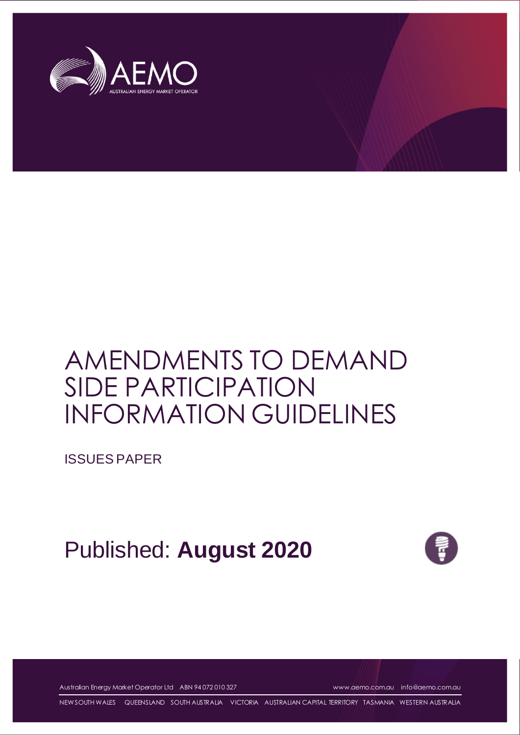

# AMENDMENTS TO DEMAND SIDE PARTICIPATION INFORMATION GUIDELINES

ISSUES PAPER

Published: **August 2020**



Australian Energy Market Operator Ltd ABN 94 072 010 327 [www.aemo.com.au](http://www.aemo.com.au/) [info@aemo.com.au](mailto:info@aemo.com.au)

NEW SOUTH WALES QUEENSLAND SOUTH AUSTRALIA VICTORIA AUSTRALIAN CAPITAL TERRITORY TASMANIA WESTERN AUSTRALIA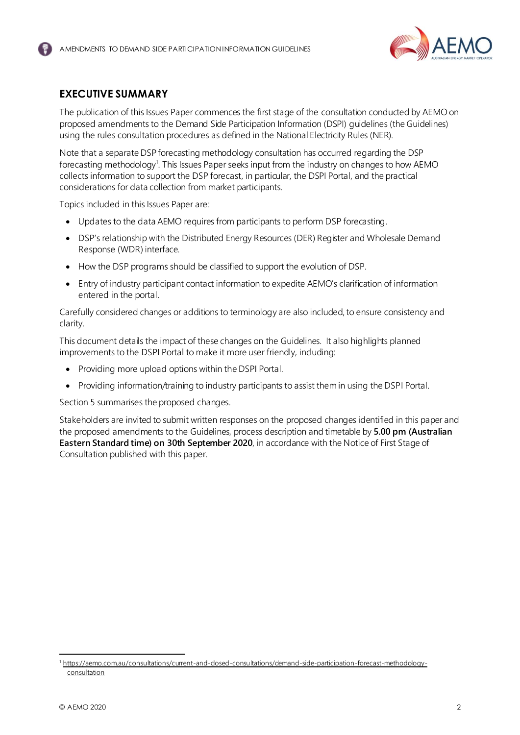

# <span id="page-1-0"></span>**EXECUTIVE SUMMARY**

The publication of this Issues Paper commences the first stage of the consultation conducted by AEMO on proposed amendments to the Demand Side Participation Information (DSPI) guidelines (the Guidelines) using the rules consultation procedures as defined in the National Electricity Rules (NER).

Note that a separate DSP forecasting methodology consultation has occurred regarding the DSP forecasting methodology<sup>1</sup>. This Issues Paper seeks input from the industry on changes to how AEMO collects information to support the DSP forecast, in particular, the DSPI Portal, and the practical considerations for data collection from market participants.

Topics included in this Issues Paper are:

- Updates to the data AEMO requires from participants to perform DSP forecasting.
- DSP's relationship with the Distributed Energy Resources (DER) Register and Wholesale Demand Response (WDR) interface.
- How the DSP programs should be classified to support the evolution of DSP.
- Entry of industry participant contact information to expedite AEMO's clarification of information entered in the portal.

Carefully considered changes or additions to terminology are also included, to ensure consistency and clarity.

This document details the impact of these changes on the Guidelines. It also highlights planned improvements to the DSPI Portal to make it more user friendly, including:

- Providing more upload options within the DSPI Portal.
- Providing information/training to industry participants to assist them in using the DSPI Portal.

Sectio[n 5](#page-13-0) summarises the proposed changes.

Stakeholders are invited to submit written responses on the proposed changes identified in this paper and the proposed amendments to the Guidelines, process description and timetable by **5.00 pm (Australian Eastern Standard time) on 30th September 2020**, in accordance with the Notice of First Stage of Consultation published with this paper.

<sup>1</sup> [https://aemo.com.au/consultations/current-and-closed-consultations/demand-side-participation-forecast-methodology](https://aemo.com.au/consultations/current-and-closed-consultations/demand-side-participation-forecast-methodology-consultation)[consultation](https://aemo.com.au/consultations/current-and-closed-consultations/demand-side-participation-forecast-methodology-consultation)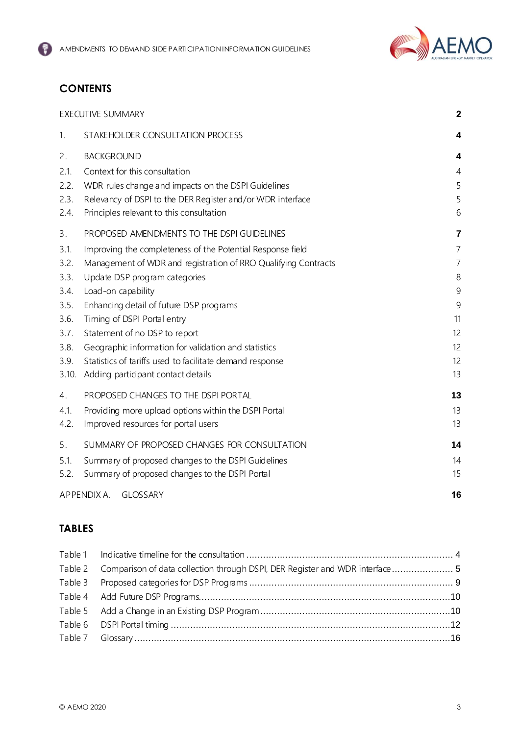

# **CONTENTS**

|       | <b>EXECUTIVE SUMMARY</b>                                       | $\mathbf 2$             |
|-------|----------------------------------------------------------------|-------------------------|
| 1.    | STAKEHOLDER CONSULTATION PROCESS                               | 4                       |
| 2.    | <b>BACKGROUND</b>                                              | 4                       |
| 2.1.  | Context for this consultation                                  | 4                       |
| 2.2.  | WDR rules change and impacts on the DSPI Guidelines            | 5                       |
| 2.3.  | Relevancy of DSPI to the DER Register and/or WDR interface     | 5                       |
| 2.4.  | Principles relevant to this consultation                       | 6                       |
| 3.    | PROPOSED AMENDMENTS TO THE DSPI GUIDELINES                     | $\overline{\mathbf{r}}$ |
| 3.1.  | Improving the completeness of the Potential Response field     | $\overline{7}$          |
| 3.2.  | Management of WDR and registration of RRO Qualifying Contracts | $\overline{7}$          |
| 3.3.  | Update DSP program categories                                  | 8                       |
| 3.4.  | Load-on capability                                             | 9                       |
| 3.5.  | Enhancing detail of future DSP programs                        | 9                       |
| 3.6.  | Timing of DSPI Portal entry                                    | 11                      |
| 3.7.  | Statement of no DSP to report                                  | 12                      |
| 3.8.  | Geographic information for validation and statistics           | 12                      |
| 3.9.  | Statistics of tariffs used to facilitate demand response       | 12                      |
| 3.10. | Adding participant contact details                             | 13                      |
| 4.    | PROPOSED CHANGES TO THE DSPI PORTAL                            | 13                      |
| 4.1.  | Providing more upload options within the DSPI Portal           | 13                      |
| 4.2.  | Improved resources for portal users                            | 13                      |
| 5.    | SUMMARY OF PROPOSED CHANGES FOR CONSULTATION                   | 14                      |
| 5.1.  | Summary of proposed changes to the DSPI Guidelines             | 14                      |
| 5.2.  | Summary of proposed changes to the DSPI Portal                 | 15                      |
|       | APPENDIX A.<br><b>GLOSSARY</b>                                 | 16                      |

## **TABLES**

| Table 2 Comparison of data collection through DSPI, DER Register and WDR interface 5 |  |
|--------------------------------------------------------------------------------------|--|
|                                                                                      |  |
|                                                                                      |  |
|                                                                                      |  |
|                                                                                      |  |
|                                                                                      |  |
|                                                                                      |  |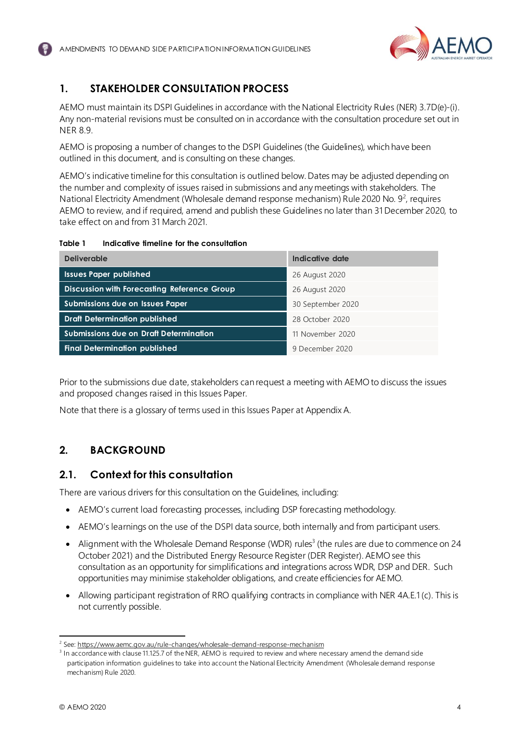

# <span id="page-3-0"></span>**1. STAKEHOLDER CONSULTATION PROCESS**

AEMO must maintain its DSPI Guidelines in accordance with the National Electricity Rules (NER) 3.7D(e)-(i). Any non-material revisions must be consulted on in accordance with the consultation procedure set out in NER 8.9.

AEMO is proposing a number of changes to the DSPI Guidelines (the Guidelines), which have been outlined in this document, and is consulting on these changes.

AEMO's indicative timeline for this consultation is outlined below. Dates may be adjusted depending on the number and complexity of issues raised in submissions and any meetings with stakeholders. The National Electricity Amendment (Wholesale demand response mechanism) Rule 2020 No. 9<sup>2</sup>, requires AEMO to review, and if required, amend and publish these Guidelines no later than 31 December 2020, to take effect on and from 31 March 2021.

<span id="page-3-3"></span>

| Table 1 |  | Indicative timeline for the consultation |
|---------|--|------------------------------------------|
|         |  |                                          |

| <b>Deliverable</b>                          | Indicative date   |  |
|---------------------------------------------|-------------------|--|
| <b>Issues Paper published</b>               | 26 August 2020    |  |
| Discussion with Forecasting Reference Group | 26 August 2020    |  |
| Submissions due on Issues Paper             | 30 September 2020 |  |
| <b>Draft Determination published</b>        | 28 October 2020   |  |
| Submissions due on Draft Determination      | 11 November 2020  |  |
| <b>Final Determination published</b>        | 9 December 2020   |  |

Prior to the submissions due date, stakeholders can request a meeting with AEMO to discuss the issues and proposed changes raised in this Issues Paper.

Note that there is a glossary of terms used in this Issues Paper at Appendix A.

# <span id="page-3-1"></span>**2. BACKGROUND**

#### <span id="page-3-2"></span>**2.1. Context for this consultation**

There are various drivers for this consultation on the Guidelines, including:

- AEMO's current load forecasting processes, including DSP forecasting methodology.
- AEMO's learnings on the use of the DSPI data source, both internally and from participant users.
- Alignment with the Wholesale Demand Response (WDR) rules<sup>3</sup> (the rules are due to commence on 24 October 2021) and the Distributed Energy Resource Register (DER Register). AEMO see this consultation as an opportunity for simplifications and integrations across WDR, DSP and DER. Such opportunities may minimise stakeholder obligations, and create efficiencies for AEMO.
- Allowing participant registration of RRO qualifying contracts in compliance with NER 4A.E.1 (c). This is not currently possible.

<sup>&</sup>lt;sup>2</sup> See:<https://www.aemc.gov.au/rule-changes/wholesale-demand-response-mechanism>

<sup>&</sup>lt;sup>3</sup> In accordance with clause 11.125.7 of the NER, AEMO is required to review and where necessary amend the demand side participation information guidelines to take into account the National Electricity Amendment (Wholesale demand response mechanism) Rule 2020.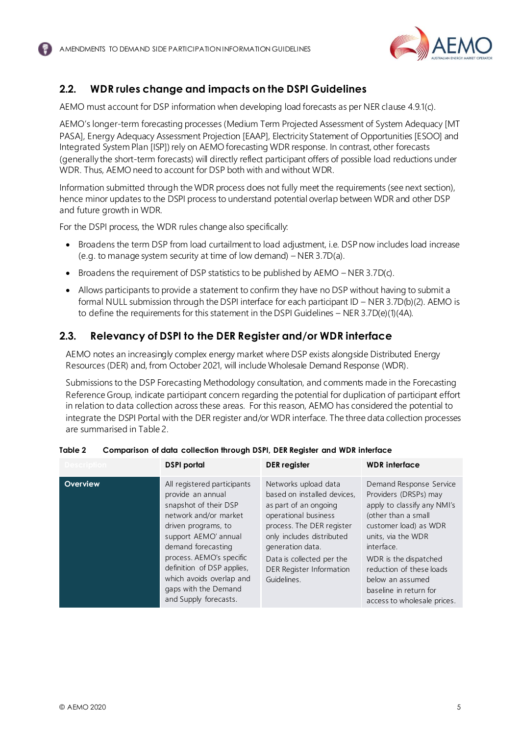

# <span id="page-4-0"></span>**2.2. WDR rules change and impacts on the DSPI Guidelines**

AEMO must account for DSP information when developing load forecasts as per NER clause 4.9.1(c).

AEMO's longer-term forecasting processes (Medium Term Projected Assessment of System Adequacy [MT PASA], Energy Adequacy Assessment Projection [EAAP], Electricity Statement of Opportunities [ESOO] and Integrated System Plan [ISP]) rely on AEMO forecasting WDR response. In contrast, other forecasts (generally the short-term forecasts) will directly reflect participant offers of possible load reductions under WDR. Thus, AEMO need to account for DSP both with and without WDR.

Information submitted through the WDR process does not fully meet the requirements (see next section), hence minor updates to the DSPI process to understand potential overlap between WDR and other DSP and future growth in WDR.

For the DSPI process, the WDR rules change also specifically:

- Broadens the term DSP from load curtailment to load adjustment, i.e. DSP now includes load increase (e.g. to manage system security at time of low demand) – NER 3.7D(a).
- Broadens the requirement of DSP statistics to be published by AEMO NER 3.7D(c).
- Allows participants to provide a statement to confirm they have no DSP without having to submit a formal NULL submission through the DSPI interface for each participant ID – NER 3.7D(b)(2). AEMO is to define the requirements for this statement in the DSPI Guidelines – NER 3.7D(e)(1)(4A).

#### <span id="page-4-1"></span>**2.3. Relevancy of DSPI to the DER Register and/or WDR interface**

AEMO notes an increasingly complex energy market where DSP exists alongside Distributed Energy Resources (DER) and, from October 2021, will include Wholesale Demand Response (WDR).

Submissions to the DSP Forecasting Methodology consultation, and comments made in the Forecasting Reference Group, indicate participant concern regarding the potential for duplication of participant effort in relation to data collection across these areas. For this reason, AEMO has considered the potential to integrate the DSPI Portal with the DER register and/or WDR interface. The three data collection processes are summarised in [Table 2](#page-4-2).

| <b>Description</b> | <b>DSPI</b> portal                                                                                                                                                                                                                                                                                             | <b>DER</b> register                                                                                                                                                                                                                                        | <b>WDR</b> interface                                                                                                                                                                                                                                                                                  |
|--------------------|----------------------------------------------------------------------------------------------------------------------------------------------------------------------------------------------------------------------------------------------------------------------------------------------------------------|------------------------------------------------------------------------------------------------------------------------------------------------------------------------------------------------------------------------------------------------------------|-------------------------------------------------------------------------------------------------------------------------------------------------------------------------------------------------------------------------------------------------------------------------------------------------------|
| Overview           | All registered participants<br>provide an annual<br>snapshot of their DSP<br>network and/or market<br>driven programs, to<br>support AEMO' annual<br>demand forecasting<br>process. AEMO's specific<br>definition of DSP applies,<br>which avoids overlap and<br>gaps with the Demand<br>and Supply forecasts. | Networks upload data<br>based on installed devices,<br>as part of an ongoing<br>operational business<br>process. The DER register<br>only includes distributed<br>generation data.<br>Data is collected per the<br>DER Register Information<br>Guidelines. | Demand Response Service<br>Providers (DRSPs) may<br>apply to classify any NMI's<br>(other than a small<br>customer load) as WDR<br>units, via the WDR<br>interface.<br>WDR is the dispatched<br>reduction of these loads<br>below an assumed<br>baseline in return for<br>access to wholesale prices. |

#### <span id="page-4-2"></span>**Table 2 Comparison of data collection through DSPI, DER Register and WDR interface**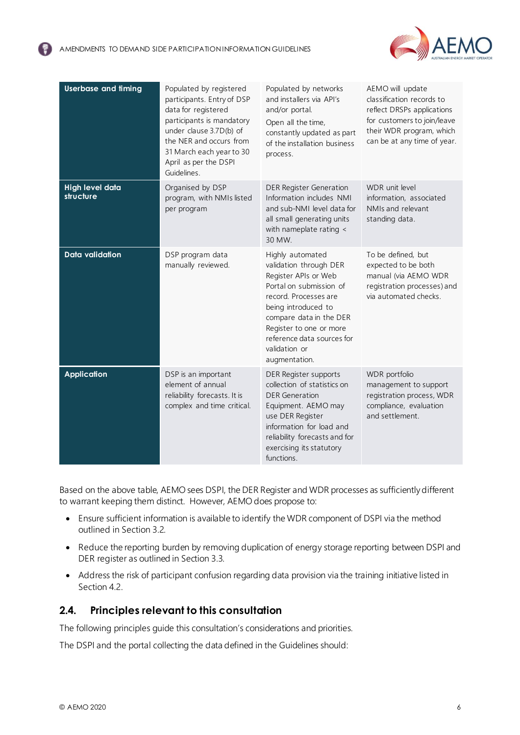

| <b>Userbase and fiming</b>          | Populated by registered<br>participants. Entry of DSP<br>data for registered<br>participants is mandatory<br>under clause 3.7D(b) of<br>the NER and occurs from<br>31 March each year to 30<br>April as per the DSPI<br>Guidelines. | Populated by networks<br>and installers via API's<br>and/or portal.<br>Open all the time,<br>constantly updated as part<br>of the installation business<br>process.                                                                                                 | AEMO will update<br>classification records to<br>reflect DRSPs applications<br>for customers to join/leave<br>their WDR program, which<br>can be at any time of year. |
|-------------------------------------|-------------------------------------------------------------------------------------------------------------------------------------------------------------------------------------------------------------------------------------|---------------------------------------------------------------------------------------------------------------------------------------------------------------------------------------------------------------------------------------------------------------------|-----------------------------------------------------------------------------------------------------------------------------------------------------------------------|
| <b>High level data</b><br>structure | Organised by DSP<br>program, with NMIs listed<br>per program                                                                                                                                                                        | <b>DER Register Generation</b><br>Information includes NMI<br>and sub-NMI level data for<br>all small generating units<br>with nameplate rating <<br>30 MW.                                                                                                         | WDR unit level<br>information, associated<br>NMIs and relevant<br>standing data.                                                                                      |
| <b>Data validation</b>              | DSP program data<br>manually reviewed.                                                                                                                                                                                              | Highly automated<br>validation through DER<br>Register APIs or Web<br>Portal on submission of<br>record. Processes are<br>being introduced to<br>compare data in the DER<br>Register to one or more<br>reference data sources for<br>validation or<br>augmentation. | To be defined, but<br>expected to be both<br>manual (via AEMO WDR<br>registration processes) and<br>via automated checks.                                             |
| <b>Application</b>                  | DSP is an important<br>element of annual<br>reliability forecasts. It is<br>complex and time critical.                                                                                                                              | DER Register supports<br>collection of statistics on<br><b>DER Generation</b><br>Equipment. AEMO may<br>use DER Register<br>information for load and<br>reliability forecasts and for<br>exercising its statutory<br>functions.                                     | WDR portfolio<br>management to support<br>registration process, WDR<br>compliance, evaluation<br>and settlement.                                                      |

Based on the above table, AEMO sees DSPI, the DER Register and WDR processes as sufficiently different to warrant keeping them distinct. However, AEMO does propose to:

- Ensure sufficient information is available to identify the WDR component of DSPI via the method outlined in Sectio[n 3.2](#page-6-2).
- Reduce the reporting burden by removing duplication of energy storage reporting between DSPI and DER register as outlined in Sectio[n 3.3](#page-7-0).
- Address the risk of participant confusion regarding data provision via the training initiative listed in Sectio[n 4.2.](#page-12-3)

#### <span id="page-5-0"></span>**2.4. Principles relevant to this consultation**

The following principles guide this consultation's considerations and priorities.

The DSPI and the portal collecting the data defined in the Guidelines should: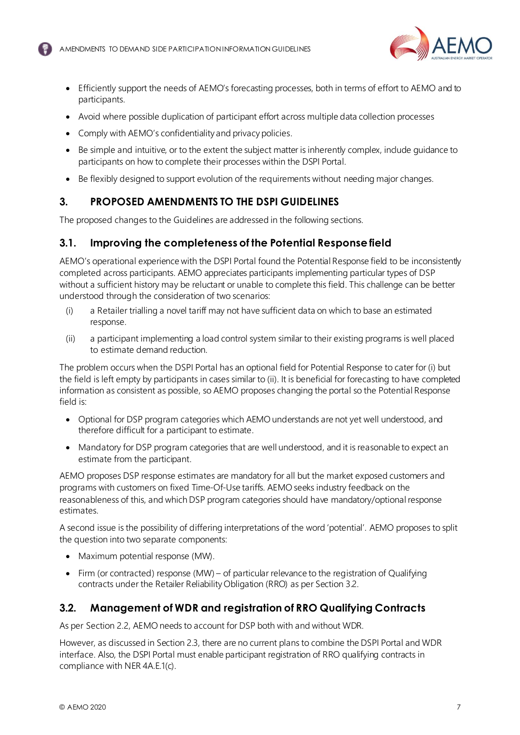

- Efficiently support the needs of AEMO's forecasting processes, both in terms of effort to AEMO and to participants.
- Avoid where possible duplication of participant effort across multiple data collection processes
- Comply with AEMO's confidentiality and privacy policies.
- Be simple and intuitive, or to the extent the subject matter is inherently complex, include quidance to participants on how to complete their processes within the DSPI Portal.
- Be flexibly designed to support evolution of the requirements without needing major changes.

## <span id="page-6-0"></span>**3. PROPOSED AMENDMENTS TO THE DSPI GUIDELINES**

The proposed changes to the Guidelines are addressed in the following sections.

#### <span id="page-6-1"></span>**3.1. Improving the completeness of the Potential Response field**

AEMO's operational experience with the DSPI Portal found the Potential Response field to be inconsistently completed across participants. AEMO appreciates participants implementing particular types of DSP without a sufficient history may be reluctant or unable to complete this field. This challenge can be better understood through the consideration of two scenarios:

- (i) a Retailer trialling a novel tariff may not have sufficient data on which to base an estimated response.
- (ii) a participant implementing a load control system similar to their existing programs is well placed to estimate demand reduction.

The problem occurs when the DSPI Portal has an optional field for Potential Response to cater for (i) but the field is left empty by participants in cases similar to (ii). It is beneficial for forecasting to have completed information as consistent as possible, so AEMO proposes changing the portal so the Potential Response field is:

- Optional for DSP program categories which AEMO understands are not yet well understood, and therefore difficult for a participant to estimate.
- Mandatory for DSP program categories that are well understood, and it is reasonable to expect an estimate from the participant.

AEMO proposes DSP response estimates are mandatory for all but the market exposed customers and programs with customers on fixed Time-Of-Use tariffs. AEMO seeks industry feedback on the reasonableness of this, and which DSP program categories should have mandatory/optional response estimates.

A second issue is the possibility of differing interpretations of the word 'potential'. AEMO proposes to split the question into two separate components:

- Maximum potential response (MW).
- Firm (or contracted) response (MW) of particular relevance to the registration of Qualifying contracts under the Retailer Reliability Obligation (RRO) as per Sectio[n 3.2](#page-6-2).

# <span id="page-6-2"></span>**3.2. Management of WDR and registration of RRO Qualifying Contracts**

As per Section [2.2](#page-4-0), AEMO needs to account for DSP both with and without WDR.

However, as discussed in Sectio[n 2.3](#page-4-1), there are no current plans to combine the DSPI Portal and WDR interface. Also, the DSPI Portal must enable participant registration of RRO qualifying contracts in compliance with NER 4A.E.1(c).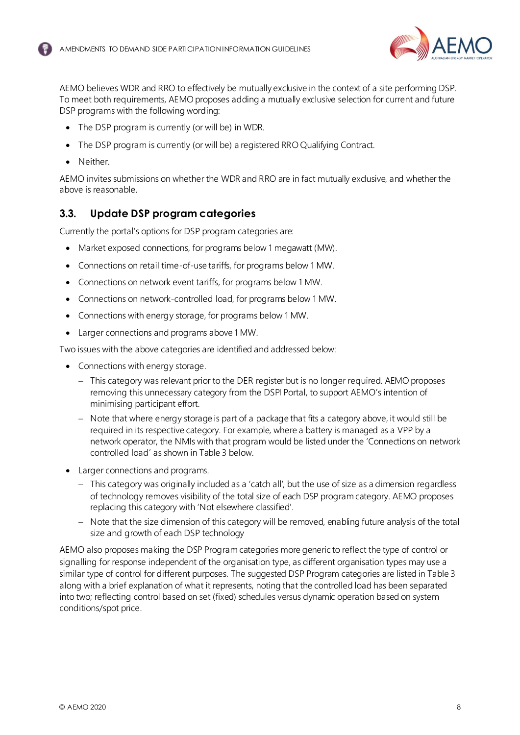

AEMO believes WDR and RRO to effectively be mutually exclusive in the context of a site performing DSP. To meet both requirements, AEMO proposes adding a mutually exclusive selection for current and future DSP programs with the following wording:

- The DSP program is currently (or will be) in WDR.
- The DSP program is currently (or will be) a registered RRO Qualifying Contract.
- Neither.

AEMO invites submissions on whether the WDR and RRO are in fact mutually exclusive, and whether the above is reasonable.

#### <span id="page-7-0"></span>**3.3. Update DSP program categories**

Currently the portal's options for DSP program categories are:

- Market exposed connections, for programs below 1 megawatt (MW).
- Connections on retail time-of-use tariffs, for programs below 1 MW.
- Connections on network event tariffs, for programs below 1 MW.
- Connections on network-controlled load, for programs below 1 MW.
- Connections with energy storage, for programs below 1 MW.
- Larger connections and programs above 1 MW.

Two issues with the above categories are identified and addressed below:

- Connections with energy storage.
	- − This category was relevant prior to the DER register but is no longer required. AEMO proposes removing this unnecessary category from the DSPI Portal, to support AEMO's intention of minimising participant effort.
	- − Note that where energy storage is part of a package that fits a category above, it would still be required in its respective category. For example, where a battery is managed as a VPP by a network operator, the NMIs with that program would be listed under the 'Connections on network controlled load' as shown i[n Table 3](#page-8-2) below.
- Larger connections and programs.
	- − This category was originally included as a 'catch all', but the use of size as a dimension regardless of technology removes visibility of the total size of each DSP program category. AEMO proposes replacing this category with 'Not elsewhere classified'.
	- − Note that the size dimension of this category will be removed, enabling future analysis of the total size and growth of each DSP technology

AEMO also proposes making the DSP Program categories more generic to reflect the type of control or signalling for response independent of the organisation type, as different organisation types may use a similar type of control for different purposes. The suggested DSP Program categories are listed in Table 3 along with a brief explanation of what it represents, noting that the controlled load has been separated into two; reflecting control based on set (fixed) schedules versus dynamic operation based on system conditions/spot price.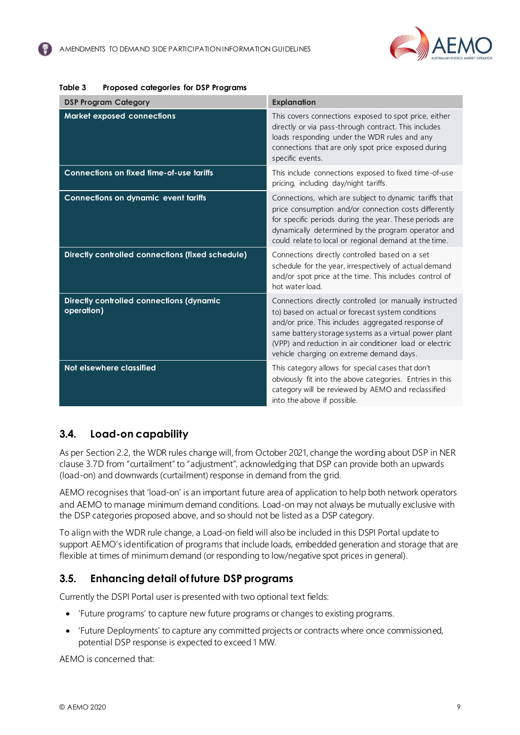

| <b>DSP Program Category</b>                            | <b>Explanation</b>                                                                                                                                                                                                                                                                                                                 |
|--------------------------------------------------------|------------------------------------------------------------------------------------------------------------------------------------------------------------------------------------------------------------------------------------------------------------------------------------------------------------------------------------|
| Market exposed connections                             | This covers connections exposed to spot price, either<br>directly or via pass-through contract. This includes<br>loads responding under the WDR rules and any<br>connections that are only spot price exposed during<br>specific events.                                                                                           |
| <b>Connections on fixed time-of-use tariffs</b>        | This include connections exposed to fixed time-of-use<br>pricing, including day/night tariffs.                                                                                                                                                                                                                                     |
| <b>Connections on dynamic event tariffs</b>            | Connections, which are subject to dynamic tariffs that<br>price consumption and/or connection costs differently<br>for specific periods during the year. These periods are<br>dynamically determined by the program operator and<br>could relate to local or regional demand at the time.                                          |
| Directly controlled connections (fixed schedule)       | Connections directly controlled based on a set<br>schedule for the year, irrespectively of actual demand<br>and/or spot price at the time. This includes control of<br>hot water load.                                                                                                                                             |
| Directly controlled connections (dynamic<br>operation) | Connections directly controlled (or manually instructed<br>to) based on actual or forecast system conditions<br>and/or price. This includes aggregated response of<br>same battery storage systems as a virtual power plant<br>(VPP) and reduction in air conditioner load or electric<br>vehicle charging on extreme demand days. |
| Not elsewhere classified                               | This category allows for special cases that don't<br>obviously fit into the above categories. Entries in this<br>category will be reviewed by AEMO and reclassified<br>into the above if possible.                                                                                                                                 |

#### <span id="page-8-2"></span>**Table 3 Proposed categories for DSP Programs**

# <span id="page-8-0"></span>**3.4. Load-on capability**

As per Sectio[n 2.2](#page-4-0), the WDR rules change will, from October 2021, change the wording about DSP in NER clause 3.7D from "curtailment" to "adjustment", acknowledging that DSP can provide both an upwards (load-on) and downwards (curtailment) response in demand from the grid.

AEMO recognises that 'load-on' is an important future area of application to help both network operators and AEMO to manage minimum demand conditions. Load-on may not always be mutually exclusive with the DSP categories proposed above, and so should not be listed as a DSP category.

To align with the WDR rule change, a Load-on field will also be included in this DSPI Portal update to support AEMO's identification of programs that include loads, embedded generation and storage that are flexible at times of minimum demand (or responding to low/negative spot prices in general).

# <span id="page-8-1"></span>**3.5. Enhancing detail of future DSP programs**

Currently the DSPI Portal user is presented with two optional text fields:

- 'Future programs' to capture new future programs or changes to existing programs.
- 'Future Deployments' to capture any committed projects or contracts where once commissioned, potential DSP response is expected to exceed 1 MW.

AEMO is concerned that: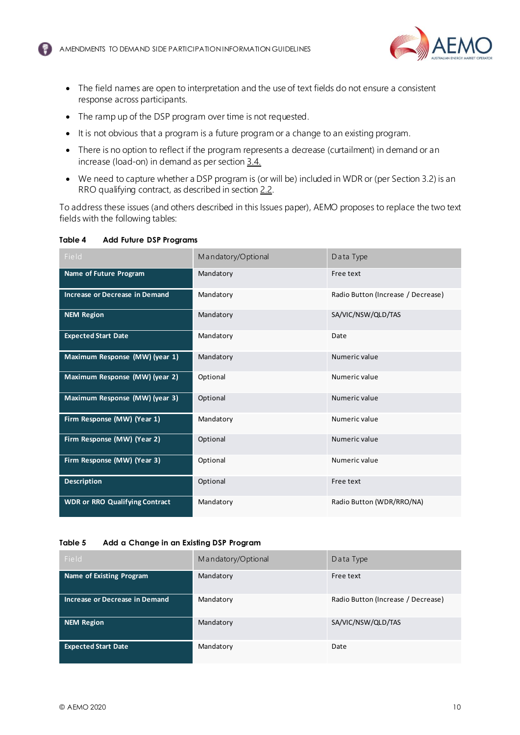

- The field names are open to interpretation and the use of text fields do not ensure a consistent response across participants.
- The ramp up of the DSP program over time is not requested.
- It is not obvious that a program is a future program or a change to an existing program.
- There is no option to reflect if the program represents a decrease (curtailment) in demand or an increase (load-on) in demand as per sectio[n 3.4.](#page-8-0)
- We need to capture whether a DSP program is (or will be) included in WDR or (per Sectio[n 3.2](#page-6-2)) is an RRO qualifying contract, as described in sectio[n 2.2](#page-4-0).

To address these issues (and others described in this Issues paper), AEMO proposes to replace the two text fields with the following tables:

<span id="page-9-0"></span>

| Table 4<br><b>Add Future DSP Programs</b> |  |
|-------------------------------------------|--|
|-------------------------------------------|--|

| Field                                 | Mandatory/Optional | Data Type                          |
|---------------------------------------|--------------------|------------------------------------|
| Name of Future Program                | Mandatory          | Free text                          |
| Increase or Decrease in Demand        | Mandatory          | Radio Button (Increase / Decrease) |
| <b>NEM Region</b>                     | Mandatory          | SA/VIC/NSW/QLD/TAS                 |
| <b>Expected Start Date</b>            | Mandatory          | Date                               |
| Maximum Response (MW) (year 1)        | Mandatory          | Numeric value                      |
| Maximum Response (MW) (year 2)        | Optional           | Numeric value                      |
| Maximum Response (MW) (year 3)        | Optional           | Numeric value                      |
| Firm Response (MW) (Year 1)           | Mandatory          | Numeric value                      |
| Firm Response (MW) (Year 2)           | Optional           | Numeric value                      |
| Firm Response (MW) (Year 3)           | Optional           | Numeric value                      |
| <b>Description</b>                    | Optional           | Free text                          |
| <b>WDR or RRO Qualifying Contract</b> | Mandatory          | Radio Button (WDR/RRO/NA)          |

#### <span id="page-9-1"></span>**Table 5 Add a Change in an Existing DSP Program**

| Field                          | Mandatory/Optional | Data Type                          |
|--------------------------------|--------------------|------------------------------------|
| Name of Existing Program       | Mandatory          | Free text                          |
| Increase or Decrease in Demand | Mandatory          | Radio Button (Increase / Decrease) |
| <b>NEM Region</b>              | Mandatory          | SA/VIC/NSW/QLD/TAS                 |
| <b>Expected Start Date</b>     | Mandatory          | Date                               |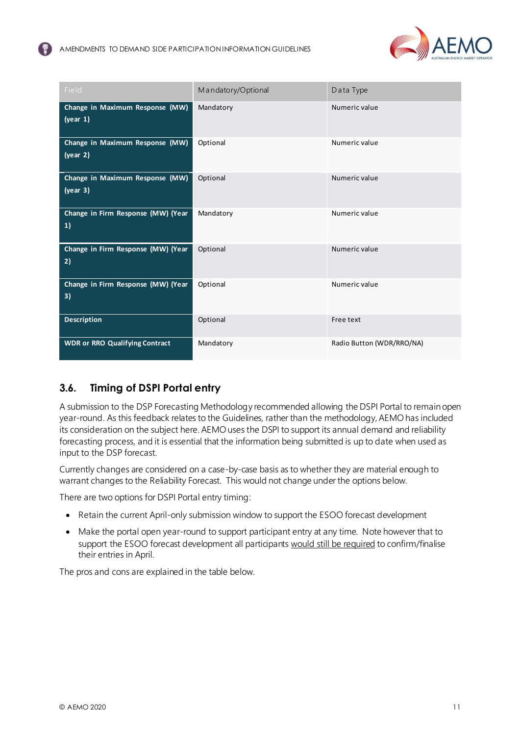

| Field                                       | Mandatory/Optional | Data Type                 |
|---------------------------------------------|--------------------|---------------------------|
| Change in Maximum Response (MW)<br>(year 1) | Mandatory          | Numeric value             |
| Change in Maximum Response (MW)<br>(year 2) | Optional           | Numeric value             |
| Change in Maximum Response (MW)<br>(year 3) | Optional           | Numeric value             |
| Change in Firm Response (MW) (Year<br>1)    | Mandatory          | Numeric value             |
| Change in Firm Response (MW) (Year<br>2)    | Optional           | Numeric value             |
| Change in Firm Response (MW) (Year<br>3)    | Optional           | Numeric value             |
| <b>Description</b>                          | Optional           | Free text                 |
| <b>WDR or RRO Qualifying Contract</b>       | Mandatory          | Radio Button (WDR/RRO/NA) |

# <span id="page-10-0"></span>**3.6. Timing of DSPI Portal entry**

A submission to the DSP Forecasting Methodology recommended allowing the DSPI Portal to remain open year-round. As this feedback relates to the Guidelines, rather than the methodology, AEMO has included its consideration on the subject here. AEMO uses the DSPI to support its annual demand and reliability forecasting process, and it is essential that the information being submitted is up to date when used as input to the DSP forecast.

Currently changes are considered on a case-by-case basis as to whether they are material enough to warrant changes to the Reliability Forecast. This would not change under the options below.

There are two options for DSPI Portal entry timing:

- Retain the current April-only submission window to support the ESOO forecast development
- Make the portal open year-round to support participant entry at any time. Note however that to support the ESOO forecast development all participants would still be required to confirm/finalise their entries in April.

The pros and cons are explained in the table below.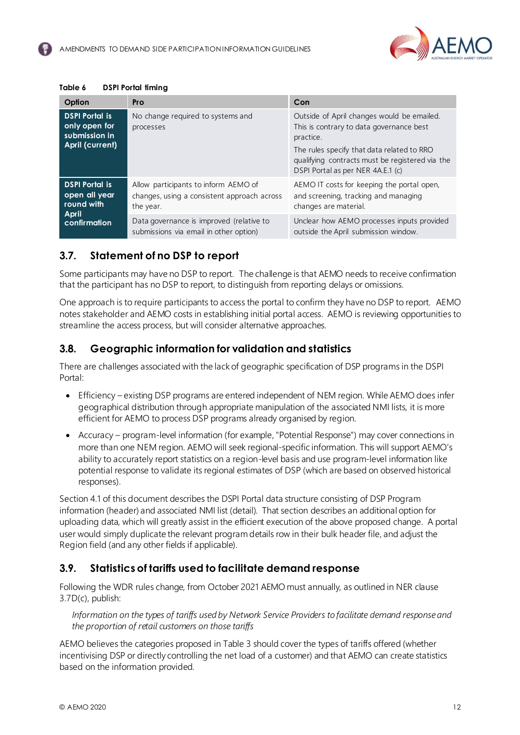

<span id="page-11-3"></span>

| Table 6 | <b>DSPI Portal timing</b> |
|---------|---------------------------|
|---------|---------------------------|

| Option                                                                               | Pro                                                                                              | Con                                                                                                                                                                                                                                       |
|--------------------------------------------------------------------------------------|--------------------------------------------------------------------------------------------------|-------------------------------------------------------------------------------------------------------------------------------------------------------------------------------------------------------------------------------------------|
| <b>DSPI Portal is</b><br>only open for<br>submission in<br><b>April (current)</b>    | No change required to systems and<br>processes                                                   | Outside of April changes would be emailed.<br>This is contrary to data governance best<br>practice.<br>The rules specify that data related to RRO<br>qualifying contracts must be registered via the<br>DSPI Portal as per NER 4A.E.1 (c) |
| <b>DSPI Portal is</b><br>open all year<br>round with<br><b>April</b><br>confirmation | Allow participants to inform AEMO of<br>changes, using a consistent approach across<br>the year. | AEMO IT costs for keeping the portal open,<br>and screening, tracking and managing<br>changes are material.                                                                                                                               |
|                                                                                      | Data governance is improved (relative to<br>submissions via email in other option)               | Unclear how AEMO processes inputs provided<br>outside the April submission window.                                                                                                                                                        |

#### <span id="page-11-0"></span>**3.7. Statement of no DSP to report**

Some participants may have no DSP to report. The challenge is that AEMO needs to receive confirmation that the participant has no DSP to report, to distinguish from reporting delays or omissions.

One approach is to require participants to access the portal to confirm they have no DSP to report. AEMO notes stakeholder and AEMO costs in establishing initial portal access. AEMO is reviewing opportunities to streamline the access process, but will consider alternative approaches.

#### <span id="page-11-1"></span>**3.8. Geographic information for validation and statistics**

There are challenges associated with the lack of geographic specification of DSP programs in the DSPI Portal:

- Efficiency existing DSP programs are entered independent of NEM region. While AEMO does infer geographical distribution through appropriate manipulation of the associated NMI lists, it is more efficient for AEMO to process DSP programs already organised by region.
- Accuracy program-level information (for example, "Potential Response") may cover connections in more than one NEM region. AEMO will seek regional-specific information. This will support AEMO's ability to accurately report statistics on a region-level basis and use program-level information like potential response to validate its regional estimates of DSP (which are based on observed historical responses).

Sectio[n 4.1](#page-12-2) of this document describes the DSPI Portal data structure consisting of DSP Program information (header) and associated NMI list (detail). That section describes an additional option for uploading data, which will greatly assist in the efficient execution of the above proposed change. A portal user would simply duplicate the relevant program details row in their bulk header file, and adjust the Region field (and any other fields if applicable).

#### <span id="page-11-2"></span>**3.9. Statistics of tariffs used to facilitate demand response**

Following the WDR rules change, from October 2021 AEMO must annually, as outlined in NER clause 3.7D(c), publish:

*Information on the types of tariffs used by Network Service Providers to facilitate demand response and the proportion of retail customers on those tariffs*

AEMO believes the categories proposed i[n Table 3](#page-8-2) should cover the types of tariffs offered (whether incentivising DSP or directly controlling the net load of a customer) and that AEMO can create statistics based on the information provided.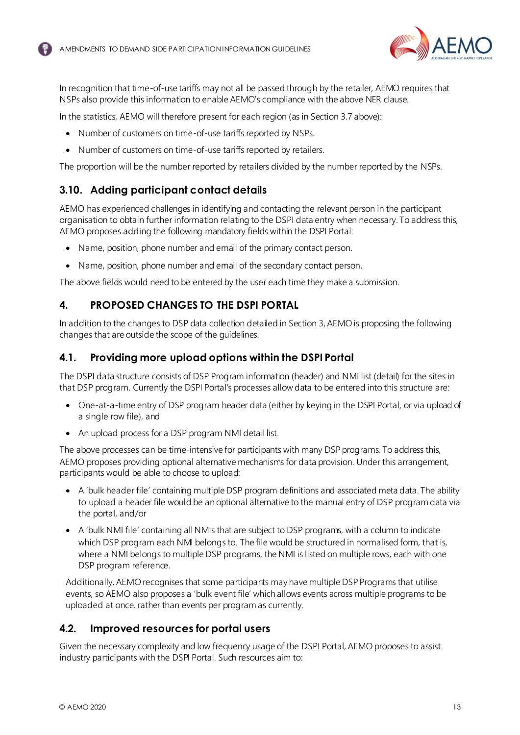

In recognition that time-of-use tariffs may not all be passed through by the retailer, AEMO requires that NSPs also provide this information to enable AEMO's compliance with the above NER clause.

In the statistics, AEMO will therefore present for each region (as in Sectio[n 3.7](#page-11-0) above):

- Number of customers on time-of-use tariffs reported by NSPs.
- Number of customers on time-of-use tariffs reported by retailers.

The proportion will be the number reported by retailers divided by the number reported by the NSPs.

# <span id="page-12-0"></span>**3.10. Adding participant contact details**

AEMO has experienced challenges in identifying and contacting the relevant person in the participant organisation to obtain further information relating to the DSPI data entry when necessary. To address this, AEMO proposes adding the following mandatory fields within the DSPI Portal:

- Name, position, phone number and email of the primary contact person.
- Name, position, phone number and email of the secondary contact person.

The above fields would need to be entered by the user each time they make a submission.

# <span id="page-12-1"></span>**4. PROPOSED CHANGES TO THE DSPI PORTAL**

In addition to the changes to DSP data collection detailed in Section 3, AEMO is proposing the following changes that are outside the scope of the guidelines.

## <span id="page-12-2"></span>**4.1. Providing more upload options within the DSPI Portal**

The DSPI data structure consists of DSP Program information (header) and NMI list (detail) for the sites in that DSP program. Currently the DSPI Portal's processes allow data to be entered into this structure are:

- One-at-a-time entry of DSP program header data (either by keying in the DSPI Portal, or via upload of a single row file), and
- An upload process for a DSP program NMI detail list.

The above processes can be time-intensive for participants with many DSP programs. To address this, AEMO proposes providing optional alternative mechanisms for data provision. Under this arrangement, participants would be able to choose to upload:

- A 'bulk header file' containing multiple DSP program definitions and associated meta data. The ability to upload a header file would be an optional alternative to the manual entry of DSP program data via the portal, and/or
- A 'bulk NMI file' containing all NMIs that are subject to DSP programs, with a column to indicate which DSP program each NMI belongs to. The file would be structured in normalised form, that is, where a NMI belongs to multiple DSP programs, the NMI is listed on multiple rows, each with one DSP program reference.

Additionally, AEMO recognises that some participants may have multiple DSP Programs that utilise events, so AEMO also proposes a 'bulk event file' which allows events across multiple programs to be uploaded at once, rather than events per program as currently.

#### <span id="page-12-3"></span>**4.2. Improved resources for portal users**

Given the necessary complexity and low frequency usage of the DSPI Portal, AEMO proposes to assist industry participants with the DSPI Portal. Such resources aim to: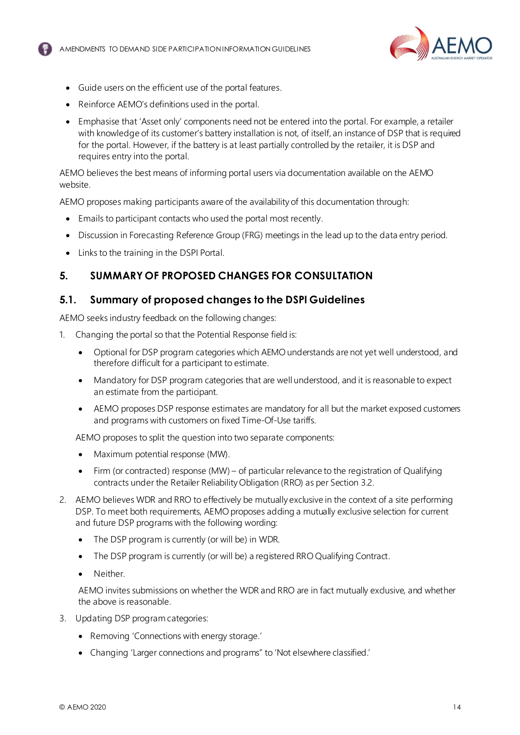

- Guide users on the efficient use of the portal features.
- Reinforce AEMO's definitions used in the portal.
- Emphasise that 'Asset only' components need not be entered into the portal. For example, a retailer with knowledge of its customer's battery installation is not, of itself, an instance of DSP that is required for the portal. However, if the battery is at least partially controlled by the retailer, it is DSP and requires entry into the portal.

AEMO believes the best means of informing portal users via documentation available on the AEMO website.

AEMO proposes making participants aware of the availability of this documentation through:

- Emails to participant contacts who used the portal most recently.
- Discussion in Forecasting Reference Group (FRG) meetings in the lead up to the data entry period.
- Links to the training in the DSPI Portal.

# <span id="page-13-0"></span>**5. SUMMARY OF PROPOSED CHANGES FOR CONSULTATION**

#### <span id="page-13-1"></span>**5.1. Summary of proposed changes to the DSPI Guidelines**

AEMO seeks industry feedback on the following changes:

- 1. Changing the portal so that the Potential Response field is:
	- Optional for DSP program categories which AEMO understands are not yet well understood, and therefore difficult for a participant to estimate.
	- Mandatory for DSP program categories that are well understood, and it is reasonable to expect an estimate from the participant.
	- AEMO proposes DSP response estimates are mandatory for all but the market exposed customers and programs with customers on fixed Time-Of-Use tariffs.

AEMO proposes to split the question into two separate components:

- Maximum potential response (MW).
- Firm (or contracted) response (MW) of particular relevance to the registration of Qualifying contracts under the Retailer Reliability Obligation (RRO) as per Sectio[n 3.2](#page-6-2).
- 2. AEMO believes WDR and RRO to effectively be mutually exclusive in the context of a site performing DSP. To meet both requirements, AEMO proposes adding a mutually exclusive selection for current and future DSP programs with the following wording:
	- The DSP program is currently (or will be) in WDR.
	- The DSP program is currently (or will be) a registered RRO Qualifying Contract.
	- Neither.

AEMO invites submissions on whether the WDR and RRO are in fact mutually exclusive, and whether the above is reasonable.

- 3. Updating DSP program categories:
	- Removing 'Connections with energy storage.'
	- Changing 'Larger connections and programs" to 'Not elsewhere classified.'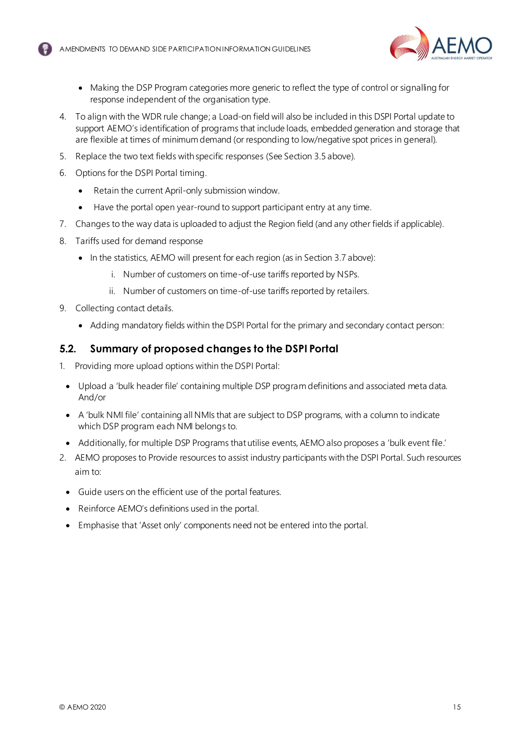

- Making the DSP Program categories more generic to reflect the type of control or signalling for response independent of the organisation type.
- 4. To align with the WDR rule change; a Load-on field will also be included in this DSPI Portal update to support AEMO's identification of programs that include loads, embedded generation and storage that are flexible at times of minimum demand (or responding to low/negative spot prices in general).
- 5. Replace the two text fields with specific responses (See Sectio[n 3.5](#page-8-1) above).
- 6. Options for the DSPI Portal timing.
	- Retain the current April-only submission window.
	- Have the portal open year-round to support participant entry at any time.
- 7. Changes to the way data is uploaded to adjust the Region field (and any other fields if applicable).
- 8. Tariffs used for demand response
	- In the statistics, AEMO will present for each region (as in Sectio[n 3.7](#page-11-0) above):
		- i. Number of customers on time-of-use tariffs reported by NSPs.
		- ii. Number of customers on time-of-use tariffs reported by retailers.
- 9. Collecting contact details.
	- Adding mandatory fields within the DSPI Portal for the primary and secondary contact person:

#### <span id="page-14-0"></span>**5.2. Summary of proposed changes to the DSPI Portal**

- 1. Providing more upload options within the DSPI Portal:
	- Upload a 'bulk header file' containing multiple DSP program definitions and associated meta data. And/or
	- A 'bulk NMI file' containing all NMIs that are subject to DSP programs, with a column to indicate which DSP program each NMI belongs to.
- Additionally, for multiple DSP Programs that utilise events, AEMO also proposes a 'bulk event file.'
- 2. AEMO proposes to Provide resources to assist industry participants with the DSPI Portal. Such resources aim to:
	- Guide users on the efficient use of the portal features.
	- Reinforce AEMO's definitions used in the portal.
	- Emphasise that 'Asset only' components need not be entered into the portal.